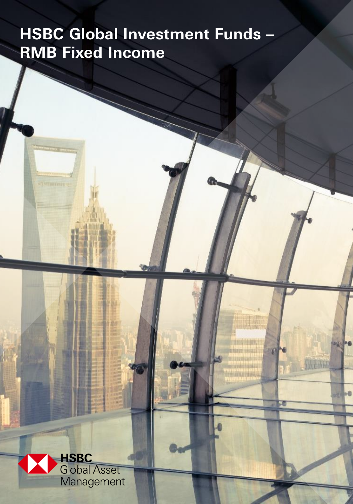# **HSBC Global Investment Funds – RMB Fixed Income**

-6

**Patrick** 

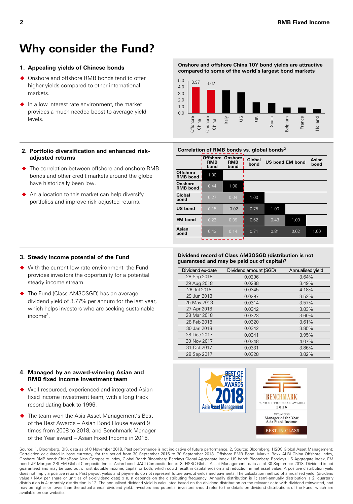# **Why consider the Fund?**

#### **1. Appealing yields of Chinese bonds**

- ◆ Onshore and offshore RMB bonds tend to offer higher yields compared to other international markets.
- In a low interest rate environment, the market provides a much needed boost to average yield levels.

#### **Onshore and offshore China 10Y bond yields are attractive compared to some of the world's largest bond markets<sup>1</sup>**



#### **2. Portfolio diversification and enhanced riskadjusted returns**

- The correlation between offshore and onshore RMB bonds and other credit markets around the globe have historically been low.
- ◆ An allocation to this market can help diversify portfolios and improve risk-adjusted returns.

#### Correlation of RMB bonds vs. global bonds<sup>2</sup>

|                                    | Offshore:<br><b>RMB</b><br>bond | Onshore,<br><b>RMB</b><br>bond | Global<br>bond |      | <b>US bond EM bond</b> | Asian<br>bond |
|------------------------------------|---------------------------------|--------------------------------|----------------|------|------------------------|---------------|
| <b>Offshore</b><br><b>RMB</b> bond | 1.00                            |                                |                |      |                        |               |
| Onshore<br><b>RMB</b> bond         | 0.44                            | 1.00                           |                |      |                        |               |
| Global<br>bond                     | 0.27                            | 0.04                           | 1.00           |      |                        |               |
| <b>US</b> bond                     | 0.15                            | $-0.02$                        | 0.75           | 1.00 |                        |               |
| <b>EM</b> bond                     | 0.23                            | 0.09                           | 0.62           | 0.43 | 1.00                   |               |
| Asian<br>bond                      | 0.43                            | 0.14                           | 0.71           | 0.81 | 0.62                   | 1.00          |
|                                    |                                 |                                |                |      |                        |               |

#### **3. Steady income potential of the Fund**

- With the current low rate environment, the Fund provides investors the opportunity for a potential steady income stream.
- The Fund (Class AM3OSGD) has an average dividend yield of 3.77% per annum for the last year, which helps investors who are seeking sustainable income<sup>3</sup> .

#### **Dividend record of Class AM3OSGD (distribution is not guaranteed and may be paid out of capital)<sup>3</sup>**

| Dividend amount (SGD) | Annualised yield |
|-----------------------|------------------|
| 0.0296                | 3.64%            |
| 0.0288                | 3.49%            |
| 0.0345                | 4.18%            |
| 0.0297                | 3.52%            |
| 0.0314                | 3.57%            |
| 0.0342                | 3.83%            |
| 0.0323                | 3.60%            |
| 0.0320                | 3.61%            |
| 0.0342                | 3.85%            |
| 0.0341                | 3.95%            |
| 0.0348                | 4.07%            |
| 0.0331                | 3.86%            |
| 0.0328                | 3.82%            |
|                       |                  |

#### **4. Managed by an award-winning Asian and RMB fixed income investment team**

- Well-resourced, experienced and integrated Asian fixed income investment team, with a long track record dating back to 1996.
- The team won the Asia Asset Management's Best of the Best Awards – Asian Bond House award 9 times from 2008 to 2018, and Benchmark Manager of the Year award – Asian Fixed Income in 2016.



Source: 1. Bloomberg, BIS, data as of 8 November 2018. Past performance is not indicative of future performance. 2, Source: Bloomberg, HSBC Global Asset Management; Correlation calculated in base currency, for the period from 30 September 2015 to 30 September 2018. Offshore RMB Bond: Markit iBoxx ALBI China Offshore Index, Onshore RMB bond: ChinaBond New Composite Index, Global Bond: Bloomberg Barclays Global Aggregate Index, US bond: Bloomberg Barclays US Aggregate Index, EM bond: JP Morgan GBI-EM Global Composite Index, Asian bond: JACI Composite Index. 3. HSBC Global Asset Management, data as of 30 September 2018. Dividend is not guaranteed and may be paid out of distributable income, capital or both, which could result in capital erosion and reduction in net asset value. A positive distribution yield does not imply a positive return. Past payout yields and payments do not represent future payout yields and payments. The calculation method of annualised yield: (dividend value / NAV per share or unit as of ex-dividend date) x n, n depends on the distributing frequency. Annually distribution is 1; semi-annually distribution is 2; quarterly distribution is 4; monthly distribution is 12. The annualised dividend yield is calculated based on the dividend distribution on the relevant date with dividend reinvested, and may be higher or lower than the actual annual dividend yield. Investors and potential investors should refer to the details on dividend distributions of the Fund, which are available on our website.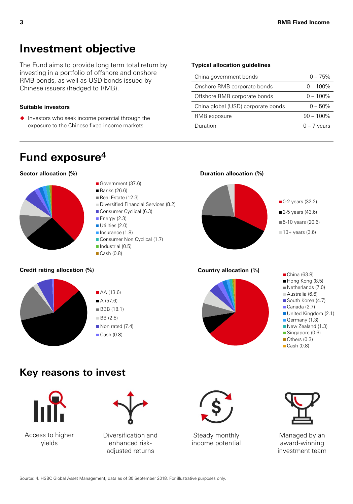# **Investment objective**

The Fund aims to provide long term total return by investing in a portfolio of offshore and onshore RMB bonds, as well as USD bonds issued by Chinese issuers (hedged to RMB).

#### **Suitable investors**

 $\blacklozenge$  Investors who seek income potential through the exposure to the Chinese fixed income markets

#### **Typical allocation guidelines**

| China government bonds             | $0 - 75%$     |
|------------------------------------|---------------|
| Onshore RMB corporate bonds        | $0 - 100\%$   |
| Offshore RMB corporate bonds       | $0 - 100\%$   |
| China global (USD) corporate bonds | $0 - 50\%$    |
| RMB exposure                       | $90 - 100\%$  |
| Duration                           | $0 - 7$ years |



### **Key reasons to invest**





Diversification and enhanced riskadjusted returns



Steady monthly income potential



Managed by an award-winning investment team